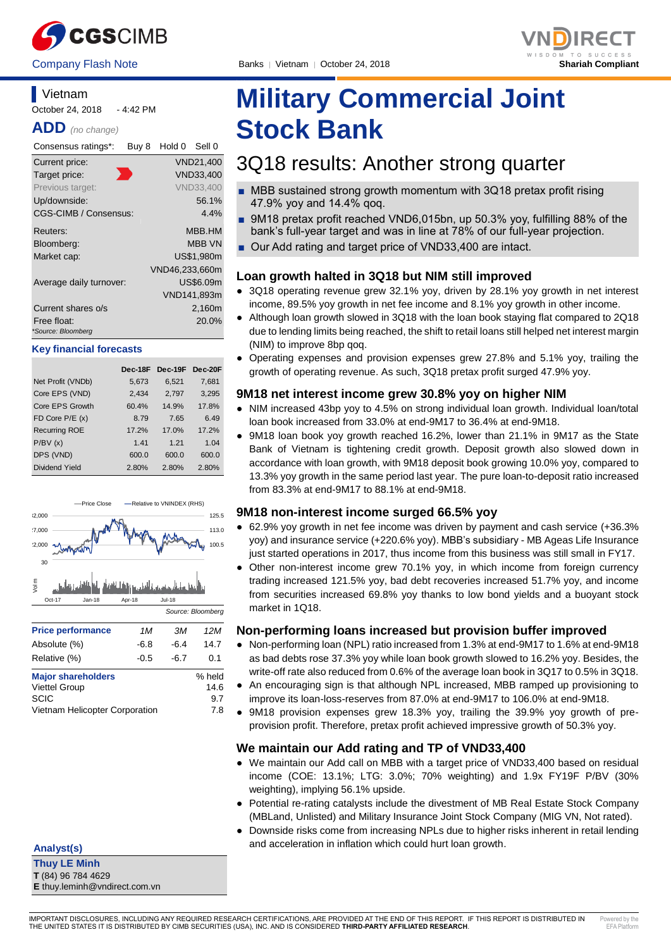



## **Vietnam** October 24, 2018 - 4:42 PM

**ADD** *(no change)*

| Consensus ratings*:               | Buy 8 | Hold 0         | Sell 0           |
|-----------------------------------|-------|----------------|------------------|
| Current price:                    |       |                | VND21,400        |
| Target price:                     |       |                | VND33,400        |
| Previous target:                  |       |                | <b>VND33.400</b> |
| Up/downside:                      |       |                | 56.1%            |
| CGS-CIMB / Consensus:             |       |                | $4.4\%$          |
| Reuters:                          |       |                | MBB.HM           |
| Bloomberg:                        |       |                | <b>MBB VN</b>    |
| Market cap:                       |       |                | US\$1,980m       |
|                                   |       | VND46,233,660m |                  |
| Average daily turnover:           |       |                | US\$6.09m        |
|                                   |       |                | VND141,893m      |
| Current shares o/s                |       |                | 2,160m           |
| Free float:<br>*Source: Bloomberg |       |                | 20.0%            |

#### **Key financial forecasts**

|                      | Dec-18F | Dec-19F | Dec-20F |
|----------------------|---------|---------|---------|
| Net Profit (VNDb)    | 5,673   | 6,521   | 7,681   |
| Core EPS (VND)       | 2.434   | 2.797   | 3,295   |
| Core EPS Growth      | 60.4%   | 14.9%   | 17.8%   |
| FD Core $P/E(x)$     | 8.79    | 7.65    | 6.49    |
| <b>Recurring ROE</b> | 17.2%   | 17.0%   | 17.2%   |
| P/BV(x)              | 1.41    | 1.21    | 1.04    |
| DPS (VND)            | 600.0   | 600.0   | 600.0   |
| Dividend Yield       | 2.80%   | 2.80%   | 2.80%   |



Vietnam Helicopter Corporation 7.8

**Analyst(s)**

**Thuy LE Minh T** (84) 96 784 4629 **E** thuy.leminh@vndirect.com.vn

# **Military Commercial Joint Stock Bank**

## 3Q18 results: Another strong quarter

- MBB sustained strong growth momentum with 3Q18 pretax profit rising 47.9% yoy and 14.4% qoq.
- 9M18 pretax profit reached VND6,015bn, up 50.3% yoy, fulfilling 88% of the bank's full-year target and was in line at 78% of our full-year projection.
- Our Add rating and target price of VND33,400 are intact.

## **Loan growth halted in 3Q18 but NIM still improved**

- 3Q18 operating revenue grew 32.1% yoy, driven by 28.1% yoy growth in net interest income, 89.5% yoy growth in net fee income and 8.1% yoy growth in other income.
- Although loan growth slowed in 3Q18 with the loan book staying flat compared to 2Q18 due to lending limits being reached, the shift to retail loans still helped net interest margin (NIM) to improve 8bp qoq.
- Operating expenses and provision expenses grew 27.8% and 5.1% yoy, trailing the growth of operating revenue. As such, 3Q18 pretax profit surged 47.9% yoy.

## **9M18 net interest income grew 30.8% yoy on higher NIM**

- NIM increased 43bp yoy to 4.5% on strong individual loan growth. Individual loan/total loan book increased from 33.0% at end-9M17 to 36.4% at end-9M18.
- 9M18 loan book yoy growth reached 16.2%, lower than 21.1% in 9M17 as the State Bank of Vietnam is tightening credit growth. Deposit growth also slowed down in accordance with loan growth, with 9M18 deposit book growing 10.0% yoy, compared to 13.3% yoy growth in the same period last year. The pure loan-to-deposit ratio increased from 83.3% at end-9M17 to 88.1% at end-9M18.

## **9M18 non-interest income surged 66.5% yoy**

- 62.9% yoy growth in net fee income was driven by payment and cash service (+36.3% yoy) and insurance service (+220.6% yoy). MBB's subsidiary - MB Ageas Life Insurance just started operations in 2017, thus income from this business was still small in FY17.
- Other non-interest income grew 70.1% yoy, in which income from foreign currency trading increased 121.5% yoy, bad debt recoveries increased 51.7% yoy, and income from securities increased 69.8% yoy thanks to low bond yields and a buoyant stock market in 1Q18.

## **Non-performing loans increased but provision buffer improved**

- Non-performing loan (NPL) ratio increased from 1.3% at end-9M17 to 1.6% at end-9M18 as bad debts rose 37.3% yoy while loan book growth slowed to 16.2% yoy. Besides, the write-off rate also reduced from 0.6% of the average loan book in 3Q17 to 0.5% in 3Q18.
- An encouraging sign is that although NPL increased, MBB ramped up provisioning to improve its loan-loss-reserves from 87.0% at end-9M17 to 106.0% at end-9M18.
- 9M18 provision expenses grew 18.3% yoy, trailing the 39.9% yoy growth of preprovision profit. Therefore, pretax profit achieved impressive growth of 50.3% yoy.

## **We maintain our Add rating and TP of VND33,400**

- We maintain our Add call on MBB with a target price of VND33,400 based on residual income (COE: 13.1%; LTG: 3.0%; 70% weighting) and 1.9x FY19F P/BV (30% weighting), implying 56.1% upside.
- Potential re-rating catalysts include the divestment of MB Real Estate Stock Company (MBLand, Unlisted) and Military Insurance Joint Stock Company (MIG VN, Not rated).
- Downside risks come from increasing NPLs due to higher risks inherent in retail lending and acceleration in inflation which could hurt loan growth.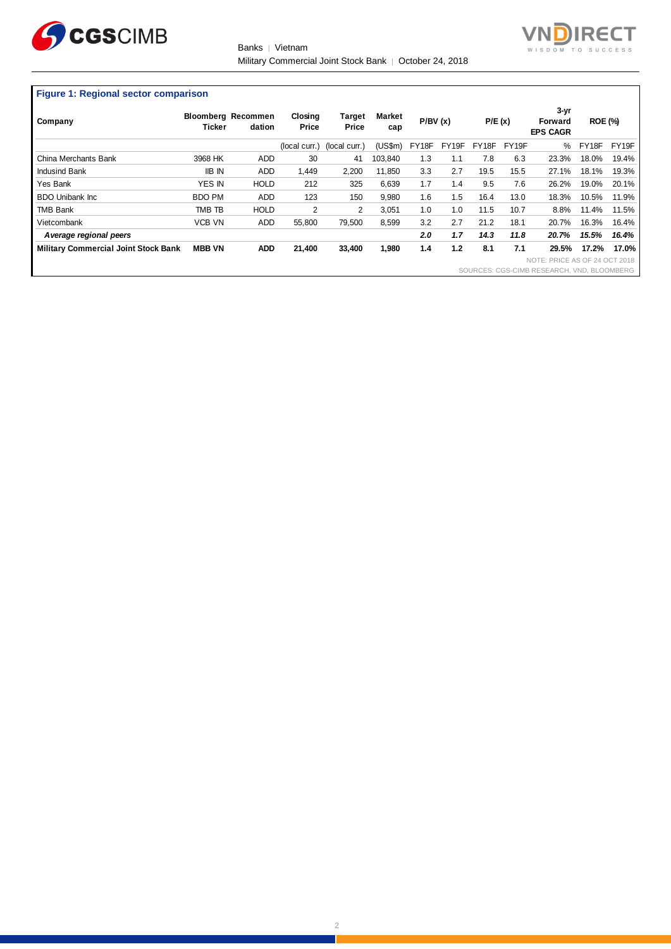

Banks | Vietnam Military Commercial Joint Stock Bank | October 24, 2018



### **Figure 1: Regional sector comparison**

| Company                                     | <b>Ticker</b> | <b>Bloomberg Recommen</b><br>dation | Closing<br>Price | <b>Target</b><br>Price | <b>Market</b><br>cap | P/BV(x) |       | P/E(x) |       | $3 - yr$<br>Forward<br><b>EPS CAGR</b>     | <b>ROE (%)</b> |       |
|---------------------------------------------|---------------|-------------------------------------|------------------|------------------------|----------------------|---------|-------|--------|-------|--------------------------------------------|----------------|-------|
|                                             |               |                                     | (local curr.)    | (local curr.)          | (US\$m)              | FY18F   | FY19F | FY18F  | FY19F | %                                          | FY18F          | FY19F |
| China Merchants Bank                        | 3968 HK       | <b>ADD</b>                          | 30               | 41                     | 103.840              | 1.3     | 1.1   | 7.8    | 6.3   | 23.3%                                      | 18.0%          | 19.4% |
| <b>Indusind Bank</b>                        | <b>IIB IN</b> | <b>ADD</b>                          | 1.449            | 2,200                  | 11.850               | 3.3     | 2.7   | 19.5   | 15.5  | 27.1%                                      | 18.1%          | 19.3% |
| Yes Bank                                    | <b>YES IN</b> | <b>HOLD</b>                         | 212              | 325                    | 6.639                | 1.7     | 1.4   | 9.5    | 7.6   | 26.2%                                      | 19.0%          | 20.1% |
| <b>BDO Unibank Inc.</b>                     | <b>BDO PM</b> | <b>ADD</b>                          | 123              | 150                    | 9,980                | 1.6     | 1.5   | 16.4   | 13.0  | 18.3%                                      | 10.5%          | 11.9% |
| <b>TMB Bank</b>                             | TMB TB        | <b>HOLD</b>                         | 2                | 2                      | 3.051                | 1.0     | 1.0   | 11.5   | 10.7  | 8.8%                                       | 11.4%          | 11.5% |
| Vietcombank                                 | <b>VCB VN</b> | <b>ADD</b>                          | 55,800           | 79,500                 | 8,599                | 3.2     | 2.7   | 21.2   | 18.1  | 20.7%                                      | 16.3%          | 16.4% |
| A verage regional peers                     |               |                                     |                  |                        |                      | 2.0     | 1.7   | 14.3   | 11.8  | 20.7%                                      | 15.5%          | 16.4% |
| <b>Military Commercial Joint Stock Bank</b> | <b>MBB VN</b> | <b>ADD</b>                          | 21,400           | 33,400                 | 1,980                | 1.4     | 1.2   | 8.1    | 7.1   | 29.5%                                      | 17.2%          | 17.0% |
|                                             |               |                                     |                  |                        |                      |         |       |        |       | NOTE: PRICE AS OF 24 OCT 2018              |                |       |
|                                             |               |                                     |                  |                        |                      |         |       |        |       | SOURCES: CGS-CIMB RESEARCH, VND, BLOOMBERG |                |       |

2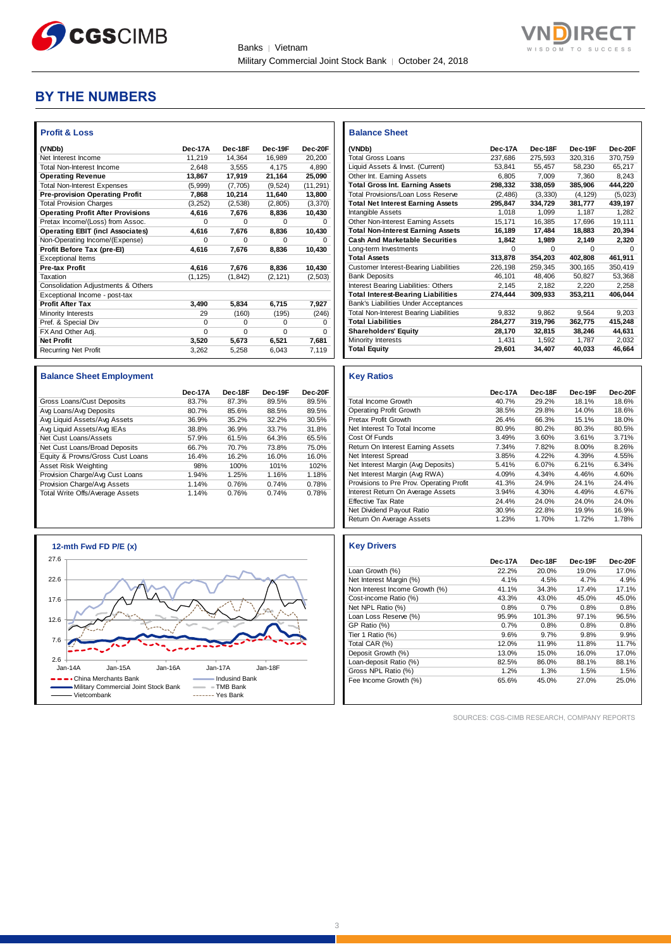



## **BY THE NUMBERS**

| <b>Profit &amp; Loss</b>                 |          |          |          |             |
|------------------------------------------|----------|----------|----------|-------------|
| (VNDb)                                   | Dec-17A  | Dec-18F  | Dec-19F  | Dec-20F     |
| Net Interest Income                      | 11.219   | 14.364   | 16.989   | 20,200      |
| <b>Total Non-Interest Income</b>         | 2.648    | 3.555    | 4.175    | 4,890       |
| <b>Operating Revenue</b>                 | 13,867   | 17,919   | 21,164   | 25,090      |
| <b>Total Non-Interest Expenses</b>       | (5,999)  | (7,705)  | (9,524)  | (11, 291)   |
| <b>Pre-provision Operating Profit</b>    | 7,868    | 10,214   | 11,640   | 13,800      |
| <b>Total Provision Charges</b>           | (3,252)  | (2,538)  | (2,805)  | (3,370)     |
| <b>Operating Profit After Provisions</b> | 4,616    | 7,676    | 8,836    | 10,430      |
| Pretax Income/(Loss) from Assoc.         | $\Omega$ | $\Omega$ | O        | 0           |
| <b>Operating EBIT (incl Associates)</b>  | 4,616    | 7.676    | 8,836    | 10,430      |
| Non-Operating Income/(Expense)           | $\Omega$ | $\Omega$ | $\Omega$ | 0           |
| Profit Before Tax (pre-El)               | 4.616    | 7,676    | 8,836    | 10,430      |
| <b>Exceptional Items</b>                 |          |          |          |             |
| <b>Pre-tax Profit</b>                    | 4,616    | 7,676    | 8,836    | 10,430      |
| Taxation                                 | (1, 125) | (1, 842) | (2, 121) | (2,503)     |
| Consolidation Adjustments & Others       |          |          |          |             |
| Exceptional Income - post-tax            |          |          |          |             |
| <b>Profit After Tax</b>                  | 3,490    | 5,834    | 6,715    | 7,927       |
| Minority Interests                       | 29       | (160)    | (195)    | (246)       |
| Pref. & Special Div                      | $\Omega$ | $\Omega$ | $\Omega$ | $\mathbf 0$ |
| FX And Other Adj.                        | $\Omega$ | $\Omega$ | $\Omega$ | $\Omega$    |
| <b>Net Profit</b>                        | 3,520    | 5,673    | 6,521    | 7,681       |
| <b>Recurring Net Profit</b>              | 3.262    | 5.258    | 6.043    | 7.119       |

| <b>Balance Sheet Employment</b>  |         |         |         |         |
|----------------------------------|---------|---------|---------|---------|
|                                  | Dec-17A | Dec-18F | Dec-19F | Dec-20F |
| Gross Loans/Cust Deposits        | 83.7%   | 87.3%   | 89.5%   | 89.5%   |
| Avg Loans/Avg Deposits           | 80.7%   | 85.6%   | 88.5%   | 89.5%   |
| Avg Liquid Assets/Avg Assets     | 36.9%   | 35.2%   | 32.2%   | 30.5%   |
| Avg Liquid Assets/Avg IEAs       | 38.8%   | 36.9%   | 33.7%   | 31.8%   |
| Net Cust Loans/Assets            | 57.9%   | 61.5%   | 64.3%   | 65.5%   |
| Net Cust Loans/Broad Deposits    | 66.7%   | 70.7%   | 73.8%   | 75.0%   |
| Equity & Provns/Gross Cust Loans | 16.4%   | 16.2%   | 16.0%   | 16.0%   |
| Asset Risk Weighting             | 98%     | 100%    | 101%    | 102%    |
| Provision Charge/Avg Cust Loans  | 1.94%   | 1.25%   | 1.16%   | 1.18%   |
| Provision Charge/Avg Assets      | 1.14%   | 0.76%   | 0.74%   | 0.78%   |
| Total Write Offs/Average Assets  | 1.14%   | 0.76%   | 0.74%   | 0.78%   |



| <b>Balance Sheet</b>                          |          |          |          |         |
|-----------------------------------------------|----------|----------|----------|---------|
| (VNDb)                                        | Dec-17A  | Dec-18F  | Dec-19F  | Dec-20F |
| <b>Total Gross Loans</b>                      | 237,686  | 275,593  | 320,316  | 370,759 |
| Liquid Assets & Invst. (Current)              | 53,841   | 55.457   | 58.230   | 65,217  |
| Other Int. Earning Assets                     | 6,805    | 7,009    | 7,360    | 8,243   |
| <b>Total Gross Int. Earning Assets</b>        | 298,332  | 338,059  | 385,906  | 444,220 |
| Total Provisions/Loan Loss Reserve            | (2, 486) | (3, 330) | (4, 129) | (5,023) |
| <b>Total Net Interest Earning Assets</b>      | 295,847  | 334,729  | 381,777  | 439,197 |
| Intangible Assets                             | 1,018    | 1,099    | 1,187    | 1,282   |
| Other Non-Interest Earning Assets             | 15,171   | 16,385   | 17,696   | 19,111  |
| <b>Total Non-Interest Earning Assets</b>      | 16,189   | 17,484   | 18,883   | 20,394  |
| <b>Cash And Marketable Securities</b>         | 1,842    | 1,989    | 2,149    | 2,320   |
| Long-term Investments                         | $\Omega$ | $\Omega$ | $\Omega$ | O       |
| <b>Total Assets</b>                           | 313,878  | 354,203  | 402,808  | 461,911 |
| <b>Customer Interest-Bearing Liabilities</b>  | 226,198  | 259,345  | 300.165  | 350,419 |
| <b>Bank Deposits</b>                          | 46,101   | 48.406   | 50,827   | 53,368  |
| Interest Bearing Liabilities: Others          | 2,145    | 2,182    | 2,220    | 2,258   |
| <b>Total Interest-Bearing Liabilities</b>     | 274,444  | 309,933  | 353,211  | 406,044 |
| <b>Bank's Liabilities Under Acceptances</b>   |          |          |          |         |
| <b>Total Non-Interest Bearing Liabilities</b> | 9,832    | 9,862    | 9,564    | 9,203   |
| <b>Total Liabilities</b>                      | 284,277  | 319,796  | 362,775  | 415,248 |
| <b>Shareholders' Equity</b>                   | 28,170   | 32,815   | 38,246   | 44,631  |
| Minority Interests                            | 1,431    | 1,592    | 1,787    | 2,032   |
| <b>Total Equity</b>                           | 29,601   | 34,407   | 40,033   | 46,664  |

#### **Key Ratios**

|                                          | Dec-17A | Dec-18F | Dec-19F | Dec-20F |
|------------------------------------------|---------|---------|---------|---------|
| <b>Total Income Growth</b>               | 40.7%   | 29.2%   | 18.1%   | 18.6%   |
| <b>Operating Profit Growth</b>           | 38.5%   | 29.8%   | 14.0%   | 18.6%   |
| Pretax Profit Growth                     | 26.4%   | 66.3%   | 15.1%   | 18.0%   |
| Net Interest To Total Income             | 80.9%   | 80.2%   | 80.3%   | 80.5%   |
| Cost Of Funds                            | 3.49%   | 3.60%   | 3.61%   | 3.71%   |
| Return On Interest Earning Assets        | 7.34%   | 7.82%   | 8.00%   | 8.26%   |
| Net Interest Spread                      | 3.85%   | 4.22%   | 4.39%   | 4.55%   |
| Net Interest Margin (Avg Deposits)       | 5.41%   | 6.07%   | 6.21%   | 6.34%   |
| Net Interest Margin (Avg RWA)            | 4.09%   | 4.34%   | 4.46%   | 4.60%   |
| Provisions to Pre Prov. Operating Profit | 41.3%   | 24.9%   | 24.1%   | 24.4%   |
| Interest Return On Average Assets        | 3.94%   | 4.30%   | 4.49%   | 4.67%   |
| <b>Effective Tax Rate</b>                | 24.4%   | 24.0%   | 24.0%   | 24.0%   |
| Net Dividend Payout Ratio                | 30.9%   | 22.8%   | 19.9%   | 16.9%   |
| Return On Average Assets                 | 1.23%   | 1.70%   | 1.72%   | 1.78%   |

## **Key Drivers**

|                                | Dec-17A | Dec-18F | Dec-19F | Dec-20F |
|--------------------------------|---------|---------|---------|---------|
| Loan Growth (%)                | 22.2%   | 20.0%   | 19.0%   | 17.0%   |
| Net Interest Margin (%)        | 4.1%    | 4.5%    | 4.7%    | 4.9%    |
| Non Interest Income Growth (%) | 41.1%   | 34.3%   | 17.4%   | 17.1%   |
| Cost-income Ratio (%)          | 43.3%   | 43.0%   | 45.0%   | 45.0%   |
| Net NPL Ratio (%)              | 0.8%    | 0.7%    | 0.8%    | 0.8%    |
| Loan Loss Reserve (%)          | 95.9%   | 101.3%  | 97.1%   | 96.5%   |
| GP Ratio (%)                   | 0.7%    | 0.8%    | 0.8%    | 0.8%    |
| Tier 1 Ratio (%)               | 9.6%    | 9.7%    | 9.8%    | 9.9%    |
| Total CAR (%)                  | 12.0%   | 11.9%   | 11.8%   | 11.7%   |
| Deposit Growth (%)             | 13.0%   | 15.0%   | 16.0%   | 17.0%   |
| Loan-deposit Ratio (%)         | 82.5%   | 86.0%   | 88.1%   | 88.1%   |
| Gross NPL Ratio (%)            | 1.2%    | 1.3%    | 1.5%    | 1.5%    |
| Fee Income Growth (%)          | 65.6%   | 45.0%   | 27.0%   | 25.0%   |

SOURCES: CGS-CIMB RESEARCH, COMPANY REPORTS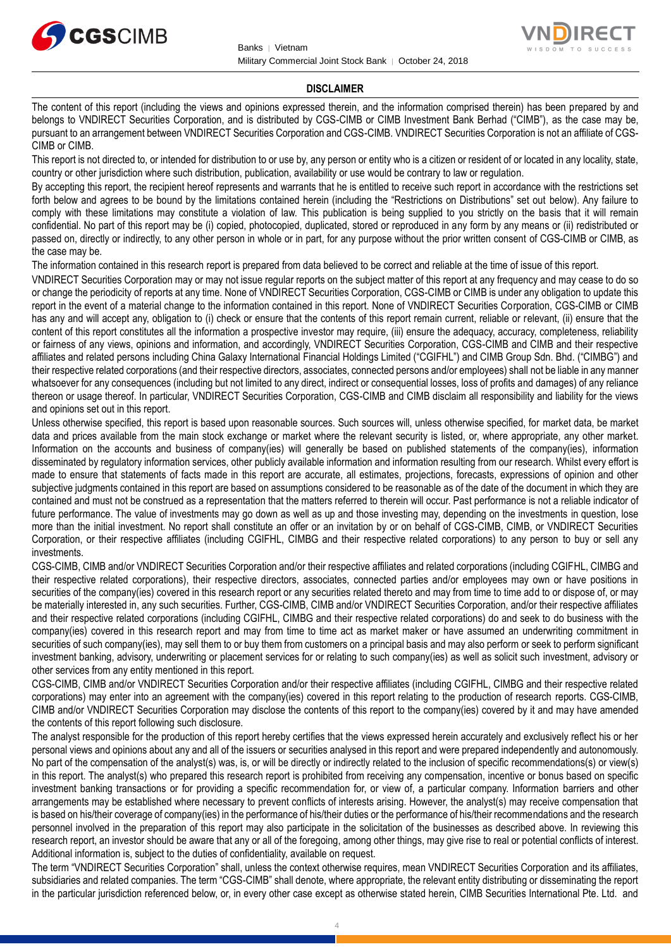



#### **DISCLAIMER**

The content of this report (including the views and opinions expressed therein, and the information comprised therein) has been prepared by and belongs to VNDIRECT Securities Corporation, and is distributed by CGS-CIMB or CIMB Investment Bank Berhad ("CIMB"), as the case may be, pursuant to an arrangement between VNDIRECT Securities Corporation and CGS-CIMB. VNDIRECT Securities Corporation is not an affiliate of CGS-CIMB or CIMB.

This report is not directed to, or intended for distribution to or use by, any person or entity who is a citizen or resident of or located in any locality, state, country or other jurisdiction where such distribution, publication, availability or use would be contrary to law or regulation.

By accepting this report, the recipient hereof represents and warrants that he is entitled to receive such report in accordance with the restrictions set forth below and agrees to be bound by the limitations contained herein (including the "Restrictions on Distributions" set out below). Any failure to comply with these limitations may constitute a violation of law. This publication is being supplied to you strictly on the basis that it will remain confidential. No part of this report may be (i) copied, photocopied, duplicated, stored or reproduced in any form by any means or (ii) redistributed or passed on, directly or indirectly, to any other person in whole or in part, for any purpose without the prior written consent of CGS-CIMB or CIMB, as the case may be.

The information contained in this research report is prepared from data believed to be correct and reliable at the time of issue of this report.

VNDIRECT Securities Corporation may or may not issue regular reports on the subject matter of this report at any frequency and may cease to do so or change the periodicity of reports at any time. None of VNDIRECT Securities Corporation, CGS-CIMB or CIMB is under any obligation to update this report in the event of a material change to the information contained in this report. None of VNDIRECT Securities Corporation, CGS-CIMB or CIMB has any and will accept any, obligation to (i) check or ensure that the contents of this report remain current, reliable or relevant, (ii) ensure that the content of this report constitutes all the information a prospective investor may require, (iii) ensure the adequacy, accuracy, completeness, reliability or fairness of any views, opinions and information, and accordingly, VNDIRECT Securities Corporation, CGS-CIMB and CIMB and their respective affiliates and related persons including China Galaxy International Financial Holdings Limited ("CGIFHL") and CIMB Group Sdn. Bhd. ("CIMBG") and their respective related corporations (and their respective directors, associates, connected persons and/or employees) shall not be liable in any manner whatsoever for any consequences (including but not limited to any direct, indirect or consequential losses, loss of profits and damages) of any reliance thereon or usage thereof. In particular, VNDIRECT Securities Corporation, CGS-CIMB and CIMB disclaim all responsibility and liability for the views and opinions set out in this report.

Unless otherwise specified, this report is based upon reasonable sources. Such sources will, unless otherwise specified, for market data, be market data and prices available from the main stock exchange or market where the relevant security is listed, or, where appropriate, any other market. Information on the accounts and business of company(ies) will generally be based on published statements of the company(ies), information disseminated by regulatory information services, other publicly available information and information resulting from our research. Whilst every effort is made to ensure that statements of facts made in this report are accurate, all estimates, projections, forecasts, expressions of opinion and other subjective judgments contained in this report are based on assumptions considered to be reasonable as of the date of the document in which they are contained and must not be construed as a representation that the matters referred to therein will occur. Past performance is not a reliable indicator of future performance. The value of investments may go down as well as up and those investing may, depending on the investments in question, lose more than the initial investment. No report shall constitute an offer or an invitation by or on behalf of CGS-CIMB, CIMB, or VNDIRECT Securities Corporation, or their respective affiliates (including CGIFHL, CIMBG and their respective related corporations) to any person to buy or sell any investments.

CGS-CIMB, CIMB and/or VNDIRECT Securities Corporation and/or their respective affiliates and related corporations (including CGIFHL, CIMBG and their respective related corporations), their respective directors, associates, connected parties and/or employees may own or have positions in securities of the company(ies) covered in this research report or any securities related thereto and may from time to time add to or dispose of, or may be materially interested in, any such securities. Further, CGS-CIMB, CIMB and/or VNDIRECT Securities Corporation, and/or their respective affiliates and their respective related corporations (including CGIFHL, CIMBG and their respective related corporations) do and seek to do business with the company(ies) covered in this research report and may from time to time act as market maker or have assumed an underwriting commitment in securities of such company(ies), may sell them to or buy them from customers on a principal basis and may also perform or seek to perform significant investment banking, advisory, underwriting or placement services for or relating to such company(ies) as well as solicit such investment, advisory or other services from any entity mentioned in this report.

CGS-CIMB, CIMB and/or VNDIRECT Securities Corporation and/or their respective affiliates (including CGIFHL, CIMBG and their respective related corporations) may enter into an agreement with the company(ies) covered in this report relating to the production of research reports. CGS-CIMB, CIMB and/or VNDIRECT Securities Corporation may disclose the contents of this report to the company(ies) covered by it and may have amended the contents of this report following such disclosure.

The analyst responsible for the production of this report hereby certifies that the views expressed herein accurately and exclusively reflect his or her personal views and opinions about any and all of the issuers or securities analysed in this report and were prepared independently and autonomously. No part of the compensation of the analyst(s) was, is, or will be directly or indirectly related to the inclusion of specific recommendations(s) or view(s) in this report. The analyst(s) who prepared this research report is prohibited from receiving any compensation, incentive or bonus based on specific investment banking transactions or for providing a specific recommendation for, or view of, a particular company. Information barriers and other arrangements may be established where necessary to prevent conflicts of interests arising. However, the analyst(s) may receive compensation that is based on his/their coverage of company(ies) in the performance of his/their duties or the performance of his/their recommendations and the research personnel involved in the preparation of this report may also participate in the solicitation of the businesses as described above. In reviewing this research report, an investor should be aware that any or all of the foregoing, among other things, may give rise to real or potential conflicts of interest. Additional information is, subject to the duties of confidentiality, available on request.

The term "VNDIRECT Securities Corporation" shall, unless the context otherwise requires, mean VNDIRECT Securities Corporation and its affiliates, subsidiaries and related companies. The term "CGS-CIMB" shall denote, where appropriate, the relevant entity distributing or disseminating the report in the particular jurisdiction referenced below, or, in every other case except as otherwise stated herein, CIMB Securities International Pte. Ltd. and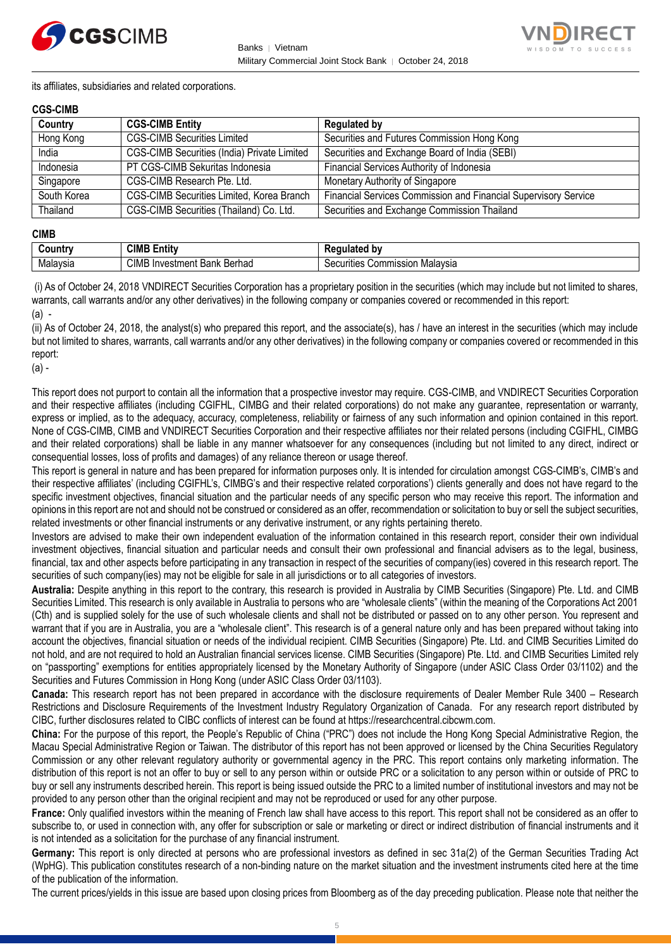



its affiliates, subsidiaries and related corporations.

### **CGS-CIMB**

| Country     | <b>CGS-CIMB Entity</b>                           | <b>Regulated by</b>                                             |
|-------------|--------------------------------------------------|-----------------------------------------------------------------|
| Hong Kong   | <b>CGS-CIMB Securities Limited</b>               | Securities and Futures Commission Hong Kong                     |
| India       | CGS-CIMB Securities (India) Private Limited      | Securities and Exchange Board of India (SEBI)                   |
| Indonesia   | PT CGS-CIMB Sekuritas Indonesia                  | Financial Services Authority of Indonesia                       |
| Singapore   | CGS-CIMB Research Pte. Ltd.                      | Monetary Authority of Singapore                                 |
| South Korea | <b>CGS-CIMB Securities Limited, Korea Branch</b> | Financial Services Commission and Financial Supervisory Service |
| Thailand    | CGS-CIMB Securities (Thailand) Co. Ltd.          | Securities and Exchange Commission Thailand                     |

#### **CIMB**

| ∶ountr\  | <b>CIML</b><br>.<br>- -<br>Entity            | b٧<br>--- -<br>.<br>παιει                                |
|----------|----------------------------------------------|----------------------------------------------------------|
| Malavsia | CIMB<br>Berhad<br>Investment<br>レハハレ<br>Dank | Malavsia<br>`ommissior<br>$\sim$<br>urities<br>vv.<br>ುರ |

(i) As of October 24, 2018 VNDIRECT Securities Corporation has a proprietary position in the securities (which may include but not limited to shares, warrants, call warrants and/or any other derivatives) in the following company or companies covered or recommended in this report: (a) -

(ii) As of October 24, 2018, the analyst(s) who prepared this report, and the associate(s), has / have an interest in the securities (which may include but not limited to shares, warrants, call warrants and/or any other derivatives) in the following company or companies covered or recommended in this report:

(a) -

This report does not purport to contain all the information that a prospective investor may require. CGS-CIMB, and VNDIRECT Securities Corporation and their respective affiliates (including CGIFHL, CIMBG and their related corporations) do not make any guarantee, representation or warranty, express or implied, as to the adequacy, accuracy, completeness, reliability or fairness of any such information and opinion contained in this report. None of CGS-CIMB, CIMB and VNDIRECT Securities Corporation and their respective affiliates nor their related persons (including CGIFHL, CIMBG and their related corporations) shall be liable in any manner whatsoever for any consequences (including but not limited to any direct, indirect or consequential losses, loss of profits and damages) of any reliance thereon or usage thereof.

This report is general in nature and has been prepared for information purposes only. It is intended for circulation amongst CGS-CIMB's, CIMB's and their respective affiliates' (including CGIFHL's, CIMBG's and their respective related corporations') clients generally and does not have regard to the specific investment objectives, financial situation and the particular needs of any specific person who may receive this report. The information and opinions in this report are not and should not be construed or considered as an offer, recommendation or solicitation to buy or sell the subject securities, related investments or other financial instruments or any derivative instrument, or any rights pertaining thereto.

Investors are advised to make their own independent evaluation of the information contained in this research report, consider their own individual investment objectives, financial situation and particular needs and consult their own professional and financial advisers as to the legal, business, financial, tax and other aspects before participating in any transaction in respect of the securities of company(ies) covered in this research report. The securities of such company(ies) may not be eligible for sale in all jurisdictions or to all categories of investors.

**Australia:** Despite anything in this report to the contrary, this research is provided in Australia by CIMB Securities (Singapore) Pte. Ltd. and CIMB Securities Limited. This research is only available in Australia to persons who are "wholesale clients" (within the meaning of the Corporations Act 2001 (Cth) and is supplied solely for the use of such wholesale clients and shall not be distributed or passed on to any other person. You represent and warrant that if you are in Australia, you are a "wholesale client". This research is of a general nature only and has been prepared without taking into account the objectives, financial situation or needs of the individual recipient. CIMB Securities (Singapore) Pte. Ltd. and CIMB Securities Limited do not hold, and are not required to hold an Australian financial services license. CIMB Securities (Singapore) Pte. Ltd. and CIMB Securities Limited rely on "passporting" exemptions for entities appropriately licensed by the Monetary Authority of Singapore (under ASIC Class Order 03/1102) and the Securities and Futures Commission in Hong Kong (under ASIC Class Order 03/1103).

**Canada:** This research report has not been prepared in accordance with the disclosure requirements of Dealer Member Rule 3400 – Research Restrictions and Disclosure Requirements of the Investment Industry Regulatory Organization of Canada. For any research report distributed by CIBC, further disclosures related to CIBC conflicts of interest can be found at https://researchcentral.cibcwm.com.

**China:** For the purpose of this report, the People's Republic of China ("PRC") does not include the Hong Kong Special Administrative Region, the Macau Special Administrative Region or Taiwan. The distributor of this report has not been approved or licensed by the China Securities Regulatory Commission or any other relevant regulatory authority or governmental agency in the PRC. This report contains only marketing information. The distribution of this report is not an offer to buy or sell to any person within or outside PRC or a solicitation to any person within or outside of PRC to buy or sell any instruments described herein. This report is being issued outside the PRC to a limited number of institutional investors and may not be provided to any person other than the original recipient and may not be reproduced or used for any other purpose.

**France:** Only qualified investors within the meaning of French law shall have access to this report. This report shall not be considered as an offer to subscribe to, or used in connection with, any offer for subscription or sale or marketing or direct or indirect distribution of financial instruments and it is not intended as a solicitation for the purchase of any financial instrument.

**Germany:** This report is only directed at persons who are professional investors as defined in sec 31a(2) of the German Securities Trading Act (WpHG). This publication constitutes research of a non-binding nature on the market situation and the investment instruments cited here at the time of the publication of the information.

The current prices/yields in this issue are based upon closing prices from Bloomberg as of the day preceding publication. Please note that neither the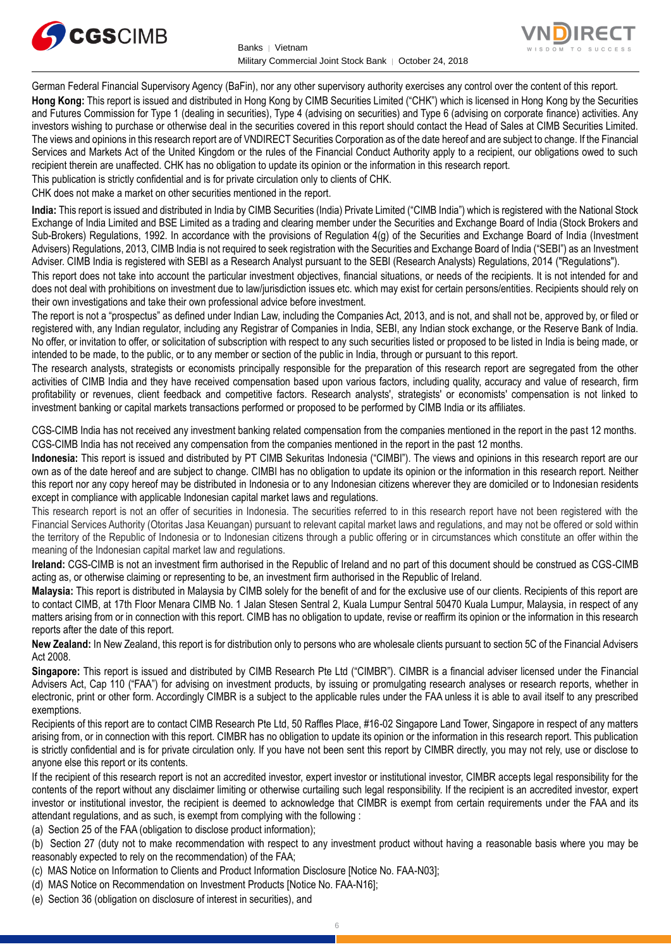



German Federal Financial Supervisory Agency (BaFin), nor any other supervisory authority exercises any control over the content of this report. **Hong Kong:** This report is issued and distributed in Hong Kong by CIMB Securities Limited ("CHK") which is licensed in Hong Kong by the Securities and Futures Commission for Type 1 (dealing in securities), Type 4 (advising on securities) and Type 6 (advising on corporate finance) activities. Any investors wishing to purchase or otherwise deal in the securities covered in this report should contact the Head of Sales at CIMB Securities Limited. The views and opinions in this research report are of VNDIRECT Securities Corporation as of the date hereof and are subject to change. If the Financial Services and Markets Act of the United Kingdom or the rules of the Financial Conduct Authority apply to a recipient, our obligations owed to such recipient therein are unaffected. CHK has no obligation to update its opinion or the information in this research report.

This publication is strictly confidential and is for private circulation only to clients of CHK.

CHK does not make a market on other securities mentioned in the report.

**India:** This report is issued and distributed in India by CIMB Securities (India) Private Limited ("CIMB India") which is registered with the National Stock Exchange of India Limited and BSE Limited as a trading and clearing member under the Securities and Exchange Board of India (Stock Brokers and Sub-Brokers) Regulations, 1992. In accordance with the provisions of Regulation 4(g) of the Securities and Exchange Board of India (Investment Advisers) Regulations, 2013, CIMB India is not required to seek registration with the Securities and Exchange Board of India ("SEBI") as an Investment Adviser. CIMB India is registered with SEBI as a Research Analyst pursuant to the SEBI (Research Analysts) Regulations, 2014 ("Regulations").

This report does not take into account the particular investment objectives, financial situations, or needs of the recipients. It is not intended for and does not deal with prohibitions on investment due to law/jurisdiction issues etc. which may exist for certain persons/entities. Recipients should rely on their own investigations and take their own professional advice before investment.

The report is not a "prospectus" as defined under Indian Law, including the Companies Act, 2013, and is not, and shall not be, approved by, or filed or registered with, any Indian regulator, including any Registrar of Companies in India, SEBI, any Indian stock exchange, or the Reserve Bank of India. No offer, or invitation to offer, or solicitation of subscription with respect to any such securities listed or proposed to be listed in India is being made, or intended to be made, to the public, or to any member or section of the public in India, through or pursuant to this report.

The research analysts, strategists or economists principally responsible for the preparation of this research report are segregated from the other activities of CIMB India and they have received compensation based upon various factors, including quality, accuracy and value of research, firm profitability or revenues, client feedback and competitive factors. Research analysts', strategists' or economists' compensation is not linked to investment banking or capital markets transactions performed or proposed to be performed by CIMB India or its affiliates.

CGS-CIMB India has not received any investment banking related compensation from the companies mentioned in the report in the past 12 months. CGS-CIMB India has not received any compensation from the companies mentioned in the report in the past 12 months.

**Indonesia:** This report is issued and distributed by PT CIMB Sekuritas Indonesia ("CIMBI"). The views and opinions in this research report are our own as of the date hereof and are subject to change. CIMBI has no obligation to update its opinion or the information in this research report. Neither this report nor any copy hereof may be distributed in Indonesia or to any Indonesian citizens wherever they are domiciled or to Indonesian residents except in compliance with applicable Indonesian capital market laws and regulations.

This research report is not an offer of securities in Indonesia. The securities referred to in this research report have not been registered with the Financial Services Authority (Otoritas Jasa Keuangan) pursuant to relevant capital market laws and regulations, and may not be offered or sold within the territory of the Republic of Indonesia or to Indonesian citizens through a public offering or in circumstances which constitute an offer within the meaning of the Indonesian capital market law and regulations.

**Ireland:** CGS-CIMB is not an investment firm authorised in the Republic of Ireland and no part of this document should be construed as CGS-CIMB acting as, or otherwise claiming or representing to be, an investment firm authorised in the Republic of Ireland.

**Malaysia:** This report is distributed in Malaysia by CIMB solely for the benefit of and for the exclusive use of our clients. Recipients of this report are to contact CIMB, at 17th Floor Menara CIMB No. 1 Jalan Stesen Sentral 2, Kuala Lumpur Sentral 50470 Kuala Lumpur, Malaysia, in respect of any matters arising from or in connection with this report. CIMB has no obligation to update, revise or reaffirm its opinion or the information in this research reports after the date of this report.

**New Zealand:** In New Zealand, this report is for distribution only to persons who are wholesale clients pursuant to section 5C of the Financial Advisers Act 2008.

**Singapore:** This report is issued and distributed by CIMB Research Pte Ltd ("CIMBR"). CIMBR is a financial adviser licensed under the Financial Advisers Act, Cap 110 ("FAA") for advising on investment products, by issuing or promulgating research analyses or research reports, whether in electronic, print or other form. Accordingly CIMBR is a subject to the applicable rules under the FAA unless it is able to avail itself to any prescribed exemptions.

Recipients of this report are to contact CIMB Research Pte Ltd, 50 Raffles Place, #16-02 Singapore Land Tower, Singapore in respect of any matters arising from, or in connection with this report. CIMBR has no obligation to update its opinion or the information in this research report. This publication is strictly confidential and is for private circulation only. If you have not been sent this report by CIMBR directly, you may not rely, use or disclose to anyone else this report or its contents.

If the recipient of this research report is not an accredited investor, expert investor or institutional investor, CIMBR accepts legal responsibility for the contents of the report without any disclaimer limiting or otherwise curtailing such legal responsibility. If the recipient is an accredited investor, expert investor or institutional investor, the recipient is deemed to acknowledge that CIMBR is exempt from certain requirements under the FAA and its attendant regulations, and as such, is exempt from complying with the following :

(a) Section 25 of the FAA (obligation to disclose product information);

(b) Section 27 (duty not to make recommendation with respect to any investment product without having a reasonable basis where you may be reasonably expected to rely on the recommendation) of the FAA;

- (c) MAS Notice on Information to Clients and Product Information Disclosure [Notice No. FAA-N03];
- (d) MAS Notice on Recommendation on Investment Products [Notice No. FAA-N16];
- (e) Section 36 (obligation on disclosure of interest in securities), and
- 6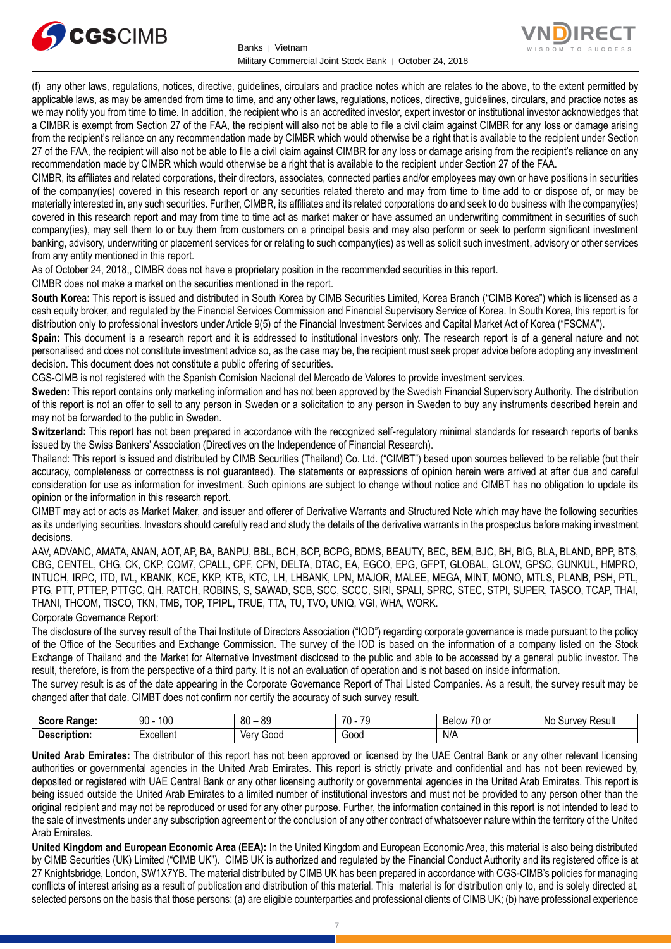



(f) any other laws, regulations, notices, directive, guidelines, circulars and practice notes which are relates to the above, to the extent permitted by applicable laws, as may be amended from time to time, and any other laws, regulations, notices, directive, guidelines, circulars, and practice notes as we may notify you from time to time. In addition, the recipient who is an accredited investor, expert investor or institutional investor acknowledges that a CIMBR is exempt from Section 27 of the FAA, the recipient will also not be able to file a civil claim against CIMBR for any loss or damage arising from the recipient's reliance on any recommendation made by CIMBR which would otherwise be a right that is available to the recipient under Section 27 of the FAA, the recipient will also not be able to file a civil claim against CIMBR for any loss or damage arising from the recipient's reliance on any recommendation made by CIMBR which would otherwise be a right that is available to the recipient under Section 27 of the FAA.

CIMBR, its affiliates and related corporations, their directors, associates, connected parties and/or employees may own or have positions in securities of the company(ies) covered in this research report or any securities related thereto and may from time to time add to or dispose of, or may be materially interested in, any such securities. Further, CIMBR, its affiliates and its related corporations do and seek to do business with the company(ies) covered in this research report and may from time to time act as market maker or have assumed an underwriting commitment in securities of such company(ies), may sell them to or buy them from customers on a principal basis and may also perform or seek to perform significant investment banking, advisory, underwriting or placement services for or relating to such company(ies) as well as solicit such investment, advisory or other services from any entity mentioned in this report.

As of October 24, 2018,, CIMBR does not have a proprietary position in the recommended securities in this report.

CIMBR does not make a market on the securities mentioned in the report.

**South Korea:** This report is issued and distributed in South Korea by CIMB Securities Limited, Korea Branch ("CIMB Korea") which is licensed as a cash equity broker, and regulated by the Financial Services Commission and Financial Supervisory Service of Korea. In South Korea, this report is for distribution only to professional investors under Article 9(5) of the Financial Investment Services and Capital Market Act of Korea ("FSCMA").

**Spain:** This document is a research report and it is addressed to institutional investors only. The research report is of a general nature and not personalised and does not constitute investment advice so, as the case may be, the recipient must seek proper advice before adopting any investment decision. This document does not constitute a public offering of securities.

CGS-CIMB is not registered with the Spanish Comision Nacional del Mercado de Valores to provide investment services.

**Sweden:** This report contains only marketing information and has not been approved by the Swedish Financial Supervisory Authority. The distribution of this report is not an offer to sell to any person in Sweden or a solicitation to any person in Sweden to buy any instruments described herein and may not be forwarded to the public in Sweden.

**Switzerland:** This report has not been prepared in accordance with the recognized self-regulatory minimal standards for research reports of banks issued by the Swiss Bankers' Association (Directives on the Independence of Financial Research).

Thailand: This report is issued and distributed by CIMB Securities (Thailand) Co. Ltd. ("CIMBT") based upon sources believed to be reliable (but their accuracy, completeness or correctness is not guaranteed). The statements or expressions of opinion herein were arrived at after due and careful consideration for use as information for investment. Such opinions are subject to change without notice and CIMBT has no obligation to update its opinion or the information in this research report.

CIMBT may act or acts as Market Maker, and issuer and offerer of Derivative Warrants and Structured Note which may have the following securities as its underlying securities. Investors should carefully read and study the details of the derivative warrants in the prospectus before making investment decisions.

AAV, ADVANC, AMATA, ANAN, AOT, AP, BA, BANPU, BBL, BCH, BCP, BCPG, BDMS, BEAUTY, BEC, BEM, BJC, BH, BIG, BLA, BLAND, BPP, BTS, CBG, CENTEL, CHG, CK, CKP, COM7, CPALL, CPF, CPN, DELTA, DTAC, EA, EGCO, EPG, GFPT, GLOBAL, GLOW, GPSC, GUNKUL, HMPRO, INTUCH, IRPC, ITD, IVL, KBANK, KCE, KKP, KTB, KTC, LH, LHBANK, LPN, MAJOR, MALEE, MEGA, MINT, MONO, MTLS, PLANB, PSH, PTL, PTG, PTT, PTTEP, PTTGC, QH, RATCH, ROBINS, S, SAWAD, SCB, SCC, SCCC, SIRI, SPALI, SPRC, STEC, STPI, SUPER, TASCO, TCAP, THAI, THANI, THCOM, TISCO, TKN, TMB, TOP, TPIPL, TRUE, TTA, TU, TVO, UNIQ, VGI, WHA, WORK.

Corporate Governance Report:

The disclosure of the survey result of the Thai Institute of Directors Association ("IOD") regarding corporate governance is made pursuant to the policy of the Office of the Securities and Exchange Commission. The survey of the IOD is based on the information of a company listed on the Stock Exchange of Thailand and the Market for Alternative Investment disclosed to the public and able to be accessed by a general public investor. The result, therefore, is from the perspective of a third party. It is not an evaluation of operation and is not based on inside information.

The survey result is as of the date appearing in the Corporate Governance Report of Thai Listed Companies. As a result, the survey result may be changed after that date. CIMBT does not confirm nor certify the accuracy of such survey result.

| score.<br>:Range    | 100<br>90 | 80<br>ΩO<br>ັບ | <b>70</b><br>$\overline{\phantom{a}}$<br>70 | $\sim$ $\sim$<br>Below<br>U or | .No<br>Result<br><b>INVAV</b><br>эu |
|---------------------|-----------|----------------|---------------------------------------------|--------------------------------|-------------------------------------|
| <b>Description:</b> | xcellent  | 000د<br>ver    | Good                                        | N/A                            |                                     |

**United Arab Emirates:** The distributor of this report has not been approved or licensed by the UAE Central Bank or any other relevant licensing authorities or governmental agencies in the United Arab Emirates. This report is strictly private and confidential and has not been reviewed by, deposited or registered with UAE Central Bank or any other licensing authority or governmental agencies in the United Arab Emirates. This report is being issued outside the United Arab Emirates to a limited number of institutional investors and must not be provided to any person other than the original recipient and may not be reproduced or used for any other purpose. Further, the information contained in this report is not intended to lead to the sale of investments under any subscription agreement or the conclusion of any other contract of whatsoever nature within the territory of the United Arab Emirates.

**United Kingdom and European Economic Area (EEA):** In the United Kingdom and European Economic Area, this material is also being distributed by CIMB Securities (UK) Limited ("CIMB UK"). CIMB UK is authorized and regulated by the Financial Conduct Authority and its registered office is at 27 Knightsbridge, London, SW1X7YB. The material distributed by CIMB UK has been prepared in accordance with CGS-CIMB's policies for managing conflicts of interest arising as a result of publication and distribution of this material. This material is for distribution only to, and is solely directed at, selected persons on the basis that those persons: (a) are eligible counterparties and professional clients of CIMB UK; (b) have professional experience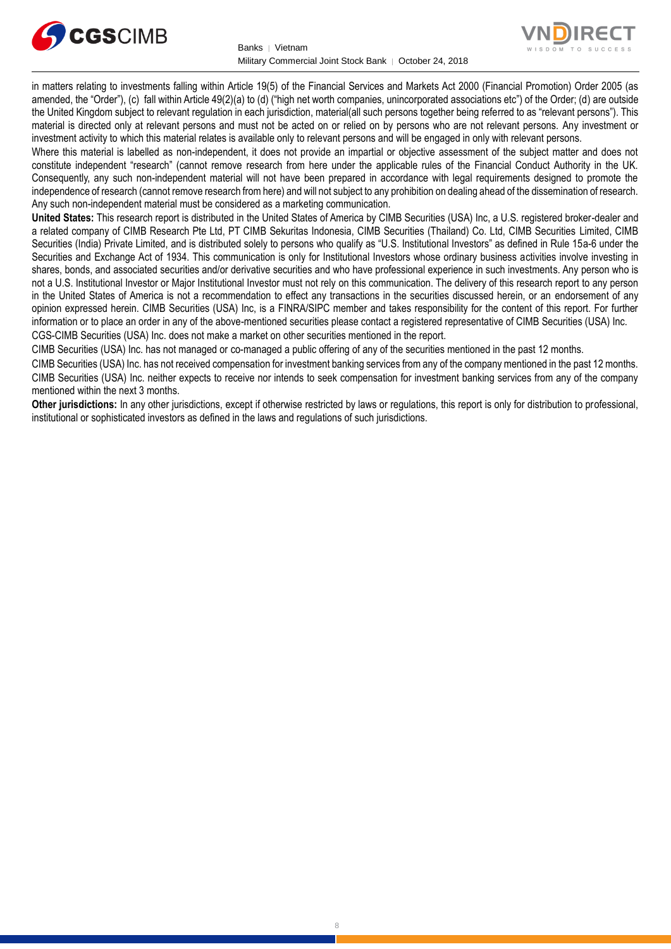



in matters relating to investments falling within Article 19(5) of the Financial Services and Markets Act 2000 (Financial Promotion) Order 2005 (as amended, the "Order"), (c) fall within Article 49(2)(a) to (d) ("high net worth companies, unincorporated associations etc") of the Order; (d) are outside the United Kingdom subject to relevant regulation in each jurisdiction, material(all such persons together being referred to as "relevant persons"). This material is directed only at relevant persons and must not be acted on or relied on by persons who are not relevant persons. Any investment or investment activity to which this material relates is available only to relevant persons and will be engaged in only with relevant persons.

Where this material is labelled as non-independent, it does not provide an impartial or objective assessment of the subject matter and does not constitute independent "research" (cannot remove research from here under the applicable rules of the Financial Conduct Authority in the UK. Consequently, any such non-independent material will not have been prepared in accordance with legal requirements designed to promote the independence of research (cannot remove research from here) and will not subject to any prohibition on dealing ahead of the dissemination of research. Any such non-independent material must be considered as a marketing communication.

**United States:** This research report is distributed in the United States of America by CIMB Securities (USA) Inc, a U.S. registered broker-dealer and a related company of CIMB Research Pte Ltd, PT CIMB Sekuritas Indonesia, CIMB Securities (Thailand) Co. Ltd, CIMB Securities Limited, CIMB Securities (India) Private Limited, and is distributed solely to persons who qualify as "U.S. Institutional Investors" as defined in Rule 15a-6 under the Securities and Exchange Act of 1934. This communication is only for Institutional Investors whose ordinary business activities involve investing in shares, bonds, and associated securities and/or derivative securities and who have professional experience in such investments. Any person who is not a U.S. Institutional Investor or Major Institutional Investor must not rely on this communication. The delivery of this research report to any person in the United States of America is not a recommendation to effect any transactions in the securities discussed herein, or an endorsement of any opinion expressed herein. CIMB Securities (USA) Inc, is a FINRA/SIPC member and takes responsibility for the content of this report. For further information or to place an order in any of the above-mentioned securities please contact a registered representative of CIMB Securities (USA) Inc. CGS-CIMB Securities (USA) Inc. does not make a market on other securities mentioned in the report.

CIMB Securities (USA) Inc. has not managed or co-managed a public offering of any of the securities mentioned in the past 12 months.

CIMB Securities (USA) Inc. has not received compensation for investment banking services from any of the company mentioned in the past 12 months. CIMB Securities (USA) Inc. neither expects to receive nor intends to seek compensation for investment banking services from any of the company mentioned within the next 3 months.

**Other jurisdictions:** In any other jurisdictions, except if otherwise restricted by laws or regulations, this report is only for distribution to professional, institutional or sophisticated investors as defined in the laws and regulations of such jurisdictions.